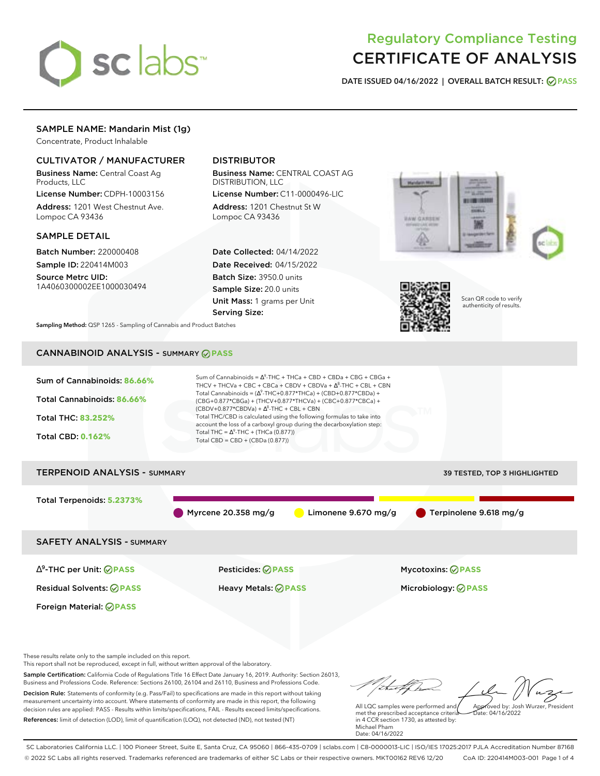

# Regulatory Compliance Testing CERTIFICATE OF ANALYSIS

**DATE ISSUED 04/16/2022 | OVERALL BATCH RESULT: PASS**

# SAMPLE NAME: Mandarin Mist (1g)

Concentrate, Product Inhalable

## CULTIVATOR / MANUFACTURER

Business Name: Central Coast Ag Products, LLC

License Number: CDPH-10003156 Address: 1201 West Chestnut Ave. Lompoc CA 93436

### SAMPLE DETAIL

Batch Number: 220000408 Sample ID: 220414M003

Source Metrc UID: 1A4060300002EE1000030494

# DISTRIBUTOR

Business Name: CENTRAL COAST AG DISTRIBUTION, LLC

License Number: C11-0000496-LIC Address: 1201 Chestnut St W Lompoc CA 93436

Date Collected: 04/14/2022 Date Received: 04/15/2022 Batch Size: 3950.0 units Sample Size: 20.0 units Unit Mass: 1 grams per Unit Serving Size:





Scan QR code to verify authenticity of results.

**Sampling Method:** QSP 1265 - Sampling of Cannabis and Product Batches

# CANNABINOID ANALYSIS - SUMMARY **PASS**



Business and Professions Code. Reference: Sections 26100, 26104 and 26110, Business and Professions Code. Decision Rule: Statements of conformity (e.g. Pass/Fail) to specifications are made in this report without taking measurement uncertainty into account. Where statements of conformity are made in this report, the following decision rules are applied: PASS - Results within limits/specifications, FAIL - Results exceed limits/specifications. References: limit of detection (LOD), limit of quantification (LOQ), not detected (ND), not tested (NT)

tal f h All LQC samples were performed and Approved by: Josh Wurzer, President

 $hat: 04/16/2022$ 

met the prescribed acceptance criteria in 4 CCR section 1730, as attested by: Michael Pham Date: 04/16/2022

SC Laboratories California LLC. | 100 Pioneer Street, Suite E, Santa Cruz, CA 95060 | 866-435-0709 | sclabs.com | C8-0000013-LIC | ISO/IES 17025:2017 PJLA Accreditation Number 87168 © 2022 SC Labs all rights reserved. Trademarks referenced are trademarks of either SC Labs or their respective owners. MKT00162 REV6 12/20 CoA ID: 220414M003-001 Page 1 of 4